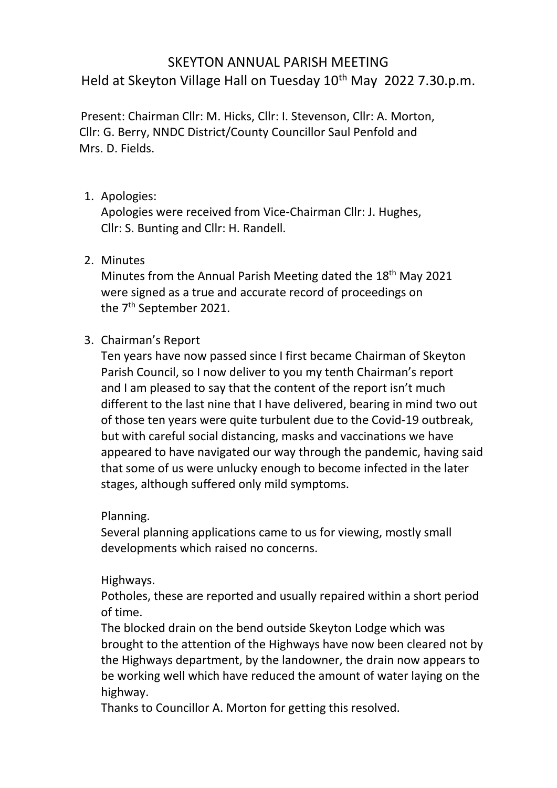# SKEYTON ANNUAL PARISH MEETING Held at Skeyton Village Hall on Tuesday 10<sup>th</sup> May 2022 7.30.p.m.

 Present: Chairman Cllr: M. Hicks, Cllr: I. Stevenson, Cllr: A. Morton, Cllr: G. Berry, NNDC District/County Councillor Saul Penfold and Mrs. D. Fields.

#### 1. Apologies:

Apologies were received from Vice-Chairman Cllr: J. Hughes, Cllr: S. Bunting and Cllr: H. Randell.

2. Minutes

Minutes from the Annual Parish Meeting dated the 18<sup>th</sup> May 2021 were signed as a true and accurate record of proceedings on the 7<sup>th</sup> September 2021.

## 3. Chairman's Report

Ten years have now passed since I first became Chairman of Skeyton Parish Council, so I now deliver to you my tenth Chairman's report and I am pleased to say that the content of the report isn't much different to the last nine that I have delivered, bearing in mind two out of those ten years were quite turbulent due to the Covid-19 outbreak, but with careful social distancing, masks and vaccinations we have appeared to have navigated our way through the pandemic, having said that some of us were unlucky enough to become infected in the later stages, although suffered only mild symptoms.

Planning.

Several planning applications came to us for viewing, mostly small developments which raised no concerns.

#### Highways.

Potholes, these are reported and usually repaired within a short period of time.

The blocked drain on the bend outside Skeyton Lodge which was brought to the attention of the Highways have now been cleared not by the Highways department, by the landowner, the drain now appears to be working well which have reduced the amount of water laying on the highway.

Thanks to Councillor A. Morton for getting this resolved.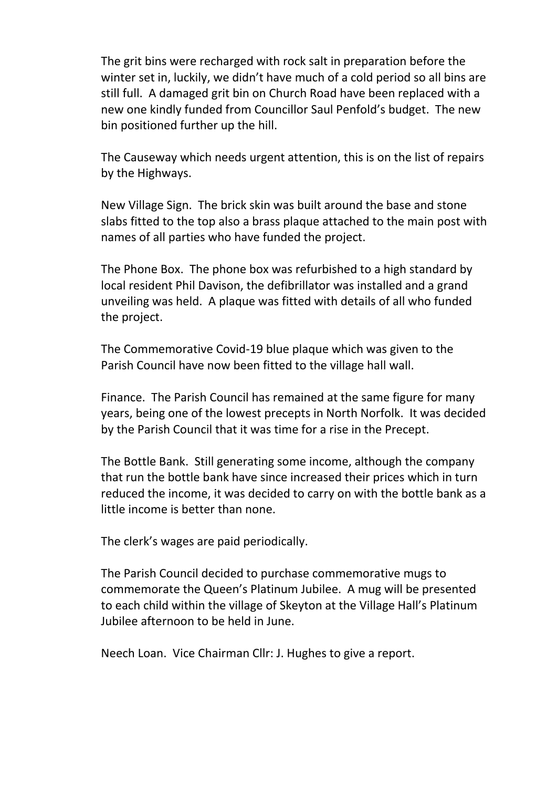The grit bins were recharged with rock salt in preparation before the winter set in, luckily, we didn't have much of a cold period so all bins are still full. A damaged grit bin on Church Road have been replaced with a new one kindly funded from Councillor Saul Penfold's budget. The new bin positioned further up the hill.

The Causeway which needs urgent attention, this is on the list of repairs by the Highways.

New Village Sign. The brick skin was built around the base and stone slabs fitted to the top also a brass plaque attached to the main post with names of all parties who have funded the project.

The Phone Box. The phone box was refurbished to a high standard by local resident Phil Davison, the defibrillator was installed and a grand unveiling was held. A plaque was fitted with details of all who funded the project.

The Commemorative Covid-19 blue plaque which was given to the Parish Council have now been fitted to the village hall wall.

Finance. The Parish Council has remained at the same figure for many years, being one of the lowest precepts in North Norfolk. It was decided by the Parish Council that it was time for a rise in the Precept.

The Bottle Bank. Still generating some income, although the company that run the bottle bank have since increased their prices which in turn reduced the income, it was decided to carry on with the bottle bank as a little income is better than none.

The clerk's wages are paid periodically.

The Parish Council decided to purchase commemorative mugs to commemorate the Queen's Platinum Jubilee. A mug will be presented to each child within the village of Skeyton at the Village Hall's Platinum Jubilee afternoon to be held in June.

Neech Loan. Vice Chairman Cllr: J. Hughes to give a report.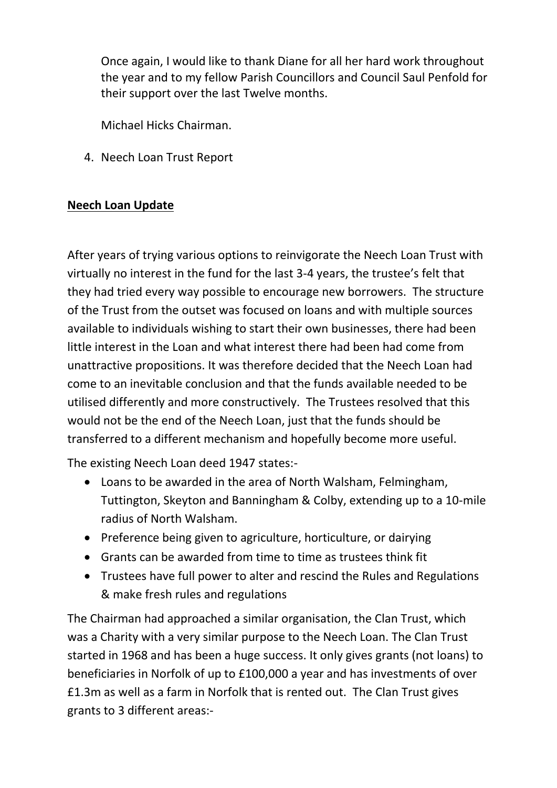Once again, I would like to thank Diane for all her hard work throughout the year and to my fellow Parish Councillors and Council Saul Penfold for their support over the last Twelve months.

Michael Hicks Chairman.

4. Neech Loan Trust Report

## **Neech Loan Update**

After years of trying various options to reinvigorate the Neech Loan Trust with virtually no interest in the fund for the last 3-4 years, the trustee's felt that they had tried every way possible to encourage new borrowers. The structure of the Trust from the outset was focused on loans and with multiple sources available to individuals wishing to start their own businesses, there had been little interest in the Loan and what interest there had been had come from unattractive propositions. It was therefore decided that the Neech Loan had come to an inevitable conclusion and that the funds available needed to be utilised differently and more constructively. The Trustees resolved that this would not be the end of the Neech Loan, just that the funds should be transferred to a different mechanism and hopefully become more useful.

The existing Neech Loan deed 1947 states:-

- Loans to be awarded in the area of North Walsham, Felmingham, Tuttington, Skeyton and Banningham & Colby, extending up to a 10-mile radius of North Walsham.
- Preference being given to agriculture, horticulture, or dairying
- Grants can be awarded from time to time as trustees think fit
- Trustees have full power to alter and rescind the Rules and Regulations & make fresh rules and regulations

The Chairman had approached a similar organisation, the Clan Trust, which was a Charity with a very similar purpose to the Neech Loan. The Clan Trust started in 1968 and has been a huge success. It only gives grants (not loans) to beneficiaries in Norfolk of up to £100,000 a year and has investments of over £1.3m as well as a farm in Norfolk that is rented out. The Clan Trust gives grants to 3 different areas:-